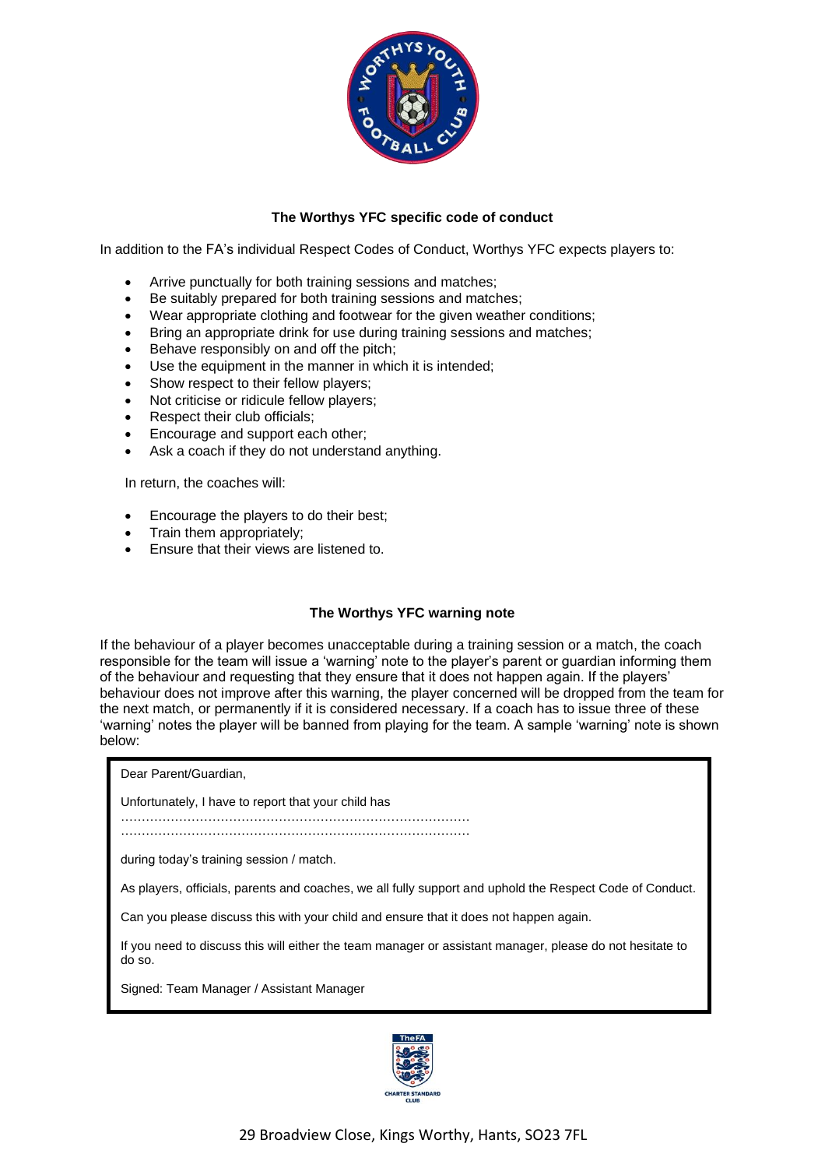

## **The Worthys YFC specific code of conduct**

In addition to the FA's individual Respect Codes of Conduct, Worthys YFC expects players to:

- Arrive punctually for both training sessions and matches;
- Be suitably prepared for both training sessions and matches;
- Wear appropriate clothing and footwear for the given weather conditions;
- Bring an appropriate drink for use during training sessions and matches;
- Behave responsibly on and off the pitch;
- Use the equipment in the manner in which it is intended;
- Show respect to their fellow players;
- Not criticise or ridicule fellow players;
- Respect their club officials;
- Encourage and support each other;
- Ask a coach if they do not understand anything.

In return, the coaches will:

- Encourage the players to do their best;
- Train them appropriately;
- Ensure that their views are listened to.

## **The Worthys YFC warning note**

If the behaviour of a player becomes unacceptable during a training session or a match, the coach responsible for the team will issue a 'warning' note to the player's parent or guardian informing them of the behaviour and requesting that they ensure that it does not happen again. If the players' behaviour does not improve after this warning, the player concerned will be dropped from the team for the next match, or permanently if it is considered necessary. If a coach has to issue three of these 'warning' notes the player will be banned from playing for the team. A sample 'warning' note is shown below:

Dear Parent/Guardian,

Unfortunately, I have to report that your child has

………………………………………………………………………… …………………………………………………………………………

during today's training session / match.

As players, officials, parents and coaches, we all fully support and uphold the Respect Code of Conduct.

Can you please discuss this with your child and ensure that it does not happen again.

If you need to discuss this will either the team manager or assistant manager, please do not hesitate to do so.

Signed: Team Manager / Assistant Manager